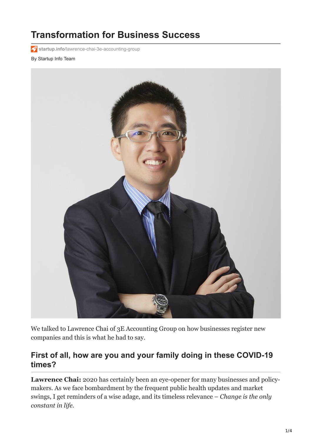# **Transformation for Business Success**

**startup.info**[/lawrence-chai-3e-accounting-group](https://startup.info/lawrence-chai-3e-accounting-group/)

#### By Startup Info Team



We talked to Lawrence Chai of 3E Accounting Group on how businesses register new companies and this is what he had to say.

#### **First of all, how are you and your family doing in these COVID-19 times?**

**Lawrence Chai:** 2020 has certainly been an eye-opener for many businesses and policymakers. As we face bombardment by the frequent public health updates and market swings, I get reminders of a wise adage, and its timeless relevance – *Change is the only constant in life.*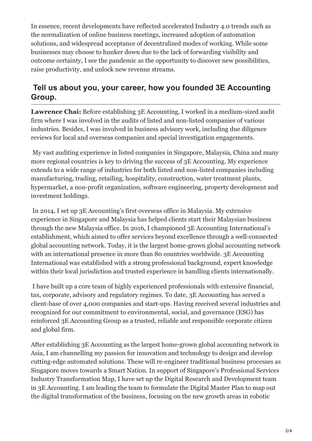In essence, recent developments have reflected accelerated Industry 4.0 trends such as the normalization of online business meetings, increased adoption of automation solutions, and widespread acceptance of decentralized modes of working. While some businesses may choose to hunker down due to the lack of forwarding visibility and outcome certainty, I see the pandemic as the opportunity to discover new possibilities, raise productivity, and unlock new revenue streams.

#### **Tell us about you, your career, how you founded 3E Accounting Group.**

**Lawrence Chai:** Before establishing 3E Accounting, I worked in a medium-sized audit firm where I was involved in the audits of listed and non-listed companies of various industries. Besides, I was involved in business advisory work, including due diligence reviews for local and overseas companies and special investigation engagements.

 My vast auditing experience in listed companies in Singapore, Malaysia, China and many more regional countries is key to driving the success of 3E Accounting. My experience extends to a wide range of industries for both listed and non-listed companies including manufacturing, trading, retailing, hospitality, construction, water treatment plants, hypermarket, a non-profit organization, software engineering, property development and investment holdings.

 In 2014, I set up 3E Accounting's first overseas office in Malaysia. My extensive experience in Singapore and Malaysia has helped clients start their Malaysian business through the new Malaysia office. In 2016, I championed 3E Accounting International's establishment, which aimed to offer services beyond excellence through a well-connected global accounting network. Today, it is the largest home-grown global accounting network with an international presence in more than 80 countries worldwide. 3E Accounting International was established with a strong professional background, expert knowledge within their local jurisdiction and trusted experience in handling clients internationally.

 I have built up a core team of highly experienced professionals with extensive financial, tax, corporate, advisory and regulatory regimes. To date, 3E Accounting has served a client-base of over 4,000 companies and start-ups. Having received several industries and recognized for our commitment to environmental, social, and governance (ESG) has reinforced 3E Accounting Group as a trusted, reliable and responsible corporate citizen and global firm.

After establishing 3E Accounting as the largest home-grown global accounting network in Asia, I am channelling my passion for innovation and technology to design and develop cutting-edge automated solutions. These will re-engineer traditional business processes as Singapore moves towards a Smart Nation. In support of Singapore's Professional Services Industry Transformation Map, I have set up the Digital Research and Development team in 3E Accounting. I am leading the team to formulate the Digital Master Plan to map out the digital transformation of the business, focusing on the new growth areas in robotic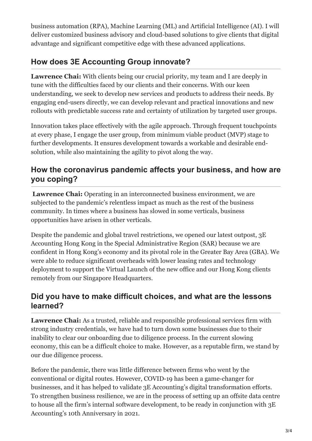business automation (RPA), Machine Learning (ML) and Artificial Intelligence (AI). I will deliver customized business advisory and cloud-based solutions to give clients that digital advantage and significant competitive edge with these advanced applications.

## **How does 3E Accounting Group innovate?**

**Lawrence Chai:** With clients being our crucial priority, my team and I are deeply in tune with the difficulties faced by our clients and their concerns. With our keen understanding, we seek to develop new services and products to address their needs. By engaging end-users directly, we can develop relevant and practical innovations and new rollouts with predictable success rate and certainty of utilization by targeted user groups.

Innovation takes place effectively with the agile approach. Through frequent touchpoints at every phase, I engage the user group, from minimum viable product (MVP) stage to further developments. It ensures development towards a workable and desirable endsolution, while also maintaining the agility to pivot along the way.

#### **How the coronavirus pandemic affects your business, and how are you coping?**

**Lawrence Chai:** Operating in an interconnected business environment, we are subjected to the pandemic's relentless impact as much as the rest of the business community. In times where a business has slowed in some verticals, business opportunities have arisen in other verticals.

Despite the pandemic and global travel restrictions, we opened our latest outpost, 3E Accounting Hong Kong in the Special Administrative Region (SAR) because we are confident in Hong Kong's economy and its pivotal role in the Greater Bay Area (GBA). We were able to reduce significant overheads with lower leasing rates and technology deployment to support the Virtual Launch of the new office and our Hong Kong clients remotely from our Singapore Headquarters.

#### **Did you have to make difficult choices, and what are the lessons learned?**

**Lawrence Chai:** As a trusted, reliable and responsible professional services firm with strong industry credentials, we have had to turn down some businesses due to their inability to clear our onboarding due to diligence process. In the current slowing economy, this can be a difficult choice to make. However, as a reputable firm, we stand by our due diligence process.

Before the pandemic, there was little difference between firms who went by the conventional or digital routes. However, COVID-19 has been a game-changer for businesses, and it has helped to validate 3E Accounting's digital transformation efforts. To strengthen business resilience, we are in the process of setting up an offsite data centre to house all the firm's internal software development, to be ready in conjunction with 3E Accounting's 10th Anniversary in 2021.